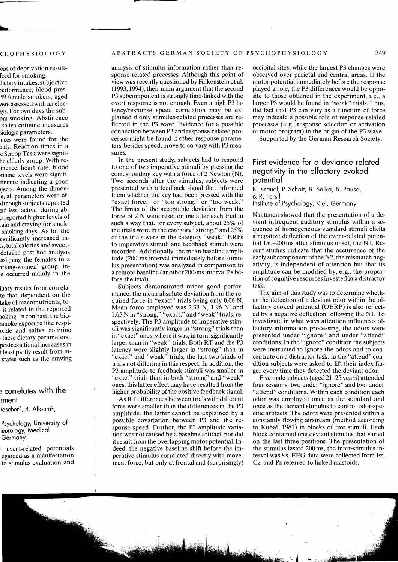analysis of stimulus information rather than response-related processes. Although this point of view was recently questioned by Falkenstein et al. (1993, 1994), their main argument that the second P3 subcomponent is strongly time-linked with the overt response is not enough. Even a high P3 latency/response speed correlation may be explained if only stimulus-related processes are reflected in the P3 wave. Evidence for a possible connection between P3 and response-related processes might be found if other response parameters, besides speed, prove to co-vary with P3 measures.

In the present study, subjects had to respond to one of two imperative stimuli by pressing the corresponding key with a force of 2 Newton (N). Two seconds after the stimulus, subjects were presented with a feedback signal that informed them whether the key had been pressed with the "exact force," or "too strong," or "too weak." The limits of the acceptable deviation from the force of 2 N were reset online after each trial in such a way that, for every subject, about 25% of the trials were in the category "strong," and 25% of the trials were in the category "weak." ERPs to imperative stimuli and feedback stimuli were recorded. Additionally, the mean baseline amplitude (200-ms interval immediately before stimulus presentation) was analyzed in comparison to a remote baseline (another 200-ms interval 2s before the trial).

Subjects demonstrated rather good performance, the mean absolute deviation from the required force in "exact" trials being only 0.06 N. Mean force employed was 2.33 N, 1.96 **N,** and 1.65 N in "strong," "exact," and "weak" trials, respectively. The P3 amplitude to imperative stimuli was significantly larger in "strong" trials than in "exact" ones, where it was, in turn, significantly larger than in "weak" trials. Both RT and the P3 latency were slightly larger in "strong" than in "exact" and "weak" trials, the last two kinds of trials not differing in this respect. In addition, the P3 amplitude to feedback stimuli was smaller in "exact" trials than in both "strong" and "weak" ones; this latter effect may have resulted from the higher probability of the positive feedback signal.

As RT differences between trials with different force were smaller than the differences in the P3 amplitude, the latter cannot be explained by a possible covariation between P3 and the response speed. Further, the P3 amplitude variation was not caused by a baseline artifact, nor did it result from the overlapping motor potential. Indeed, the negative baseline shift before the imperative stimulus correlated directly with movement force, but only at frontal and (surprisingly) occipital sites, while the largest P3 changes were observed over parietal and central areas. If the motor potential immediately before the response played a role, the P3 differences would be opposite to those obtained in the experiment, i. e., a larger P3 would be found in "weak" trials. Thus, the fact that P3 can vary as a function of force may indicate a possible role of response-related processes (e.g., response selection or activation of motor program) in the origin of the P3 wave.

Supported by the German Research Society.

## First evidence for a deviance related negativity in the olfactory evoked potential

K. Krauel, P. Schott, B. Sojka, B. Pause, & R. Ferstl Institute of Psychology, Kiel, Germany

Näätänen showed that the presentation of a deviant infrequent auditory stimulus within a sequence of homogeneous standard stimuli elicits a negative deflection of the event-related potential 150-200ms after stimulus onset, the N2. Recent studies indicate that the occurrence of the early subcomponent of the N2, the mismatch negativity, is independent of attention but that its amplitude can be modified by, e. g., the proportion of cognitive resources invested in a distractor task.

The aim of this study was to determine whether the detection of a deviant odor within the olfactory evoked potential (OERP) is also reflected by a negative deflection following the Nl. To investigate in what ways attention influences olfactory information processing, the odors were presented under "ignore" and under "attend" conditions. In the "ignore" condition the subjects were instructed to ignore the odors and to concentrate on a distractor task. In the "attend" condition subjects were asked to lift their index finger every time they detected the deviant odor.

Five male subjects (aged 21-25 years) attended four sessions, two under "ignore" and two under "attend" conditions. Within each condition each odor was employed once as the standard and once as the deviant stimulus to control odor-specific artifacts. The odors were presented within a constantly flowing airstream (method according to Kobal, 1981) in blocks of five stimuli. Each block contained one deviant stimulus that varied on the last three positions. The presentation of the stimulus lasted 200ms, the inter-stimulus interval was 8 s. EEG data were collected from Fz, Cz, and Pz referred to linked mastoids.